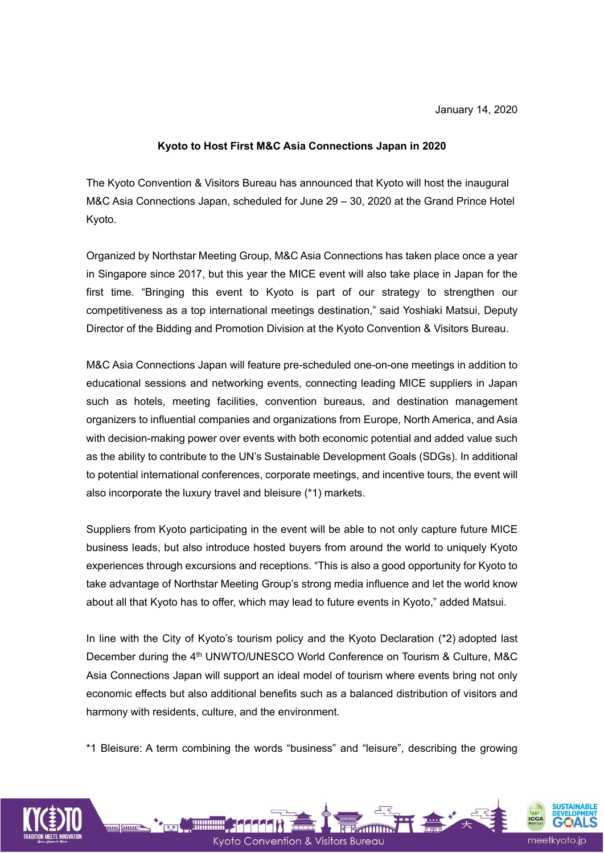#### **Kyoto to Host First M&C Asia Connections Japan in 2020**

The Kyoto Convention & Visitors Bureau has announced that Kyoto will host the inaugural M&C Asia Connections Japan, scheduled for June 29 – 30, 2020 at the Grand Prince Hotel Kyoto.

Organized by Northstar Meeting Group, M&C Asia Connections has taken place once a year in Singapore since 2017, but this year the MICE event will also take place in Japan for the first time. "Bringing this event to Kyoto is part of our strategy to strengthen our competitiveness as a top international meetings destination," said Yoshiaki Matsui, Deputy Director of the Bidding and Promotion Division at the Kyoto Convention & Visitors Bureau.

M&C Asia Connections Japan will feature pre-scheduled one-on-one meetings in addition to educational sessions and networking events, connecting leading MICE suppliers in Japan such as hotels, meeting facilities, convention bureaus, and destination management organizers to influential companies and organizations from Europe, North America, and Asia with decision-making power over events with both economic potential and added value such as the ability to contribute to the UN's Sustainable Development Goals (SDGs). In additional to potential international conferences, corporate meetings, and incentive tours, the event will also incorporate the luxury travel and bleisure (\*1) markets.

Suppliers from Kyoto participating in the event will be able to not only capture future MICE business leads, but also introduce hosted buyers from around the world to uniquely Kyoto experiences through excursions and receptions. "This is also a good opportunity for Kyoto to take advantage of Northstar Meeting Group's strong media influence and let the world know about all that Kyoto has to offer, which may lead to future events in Kyoto," added Matsui.

In line with the City of Kyoto's tourism policy and the Kyoto Declaration (\*2) adopted last December during the 4<sup>th</sup> UNWTO/UNESCO World Conference on Tourism & Culture, M&C Asia Connections Japan will support an ideal model of tourism where events bring not only economic effects but also additional benefits such as a balanced distribution of visitors and harmony with residents, culture, and the environment.

\*1 Bleisure: A term combining the words "business" and "leisure", describing the growing

Kyoto Convention & Visitors Bureau